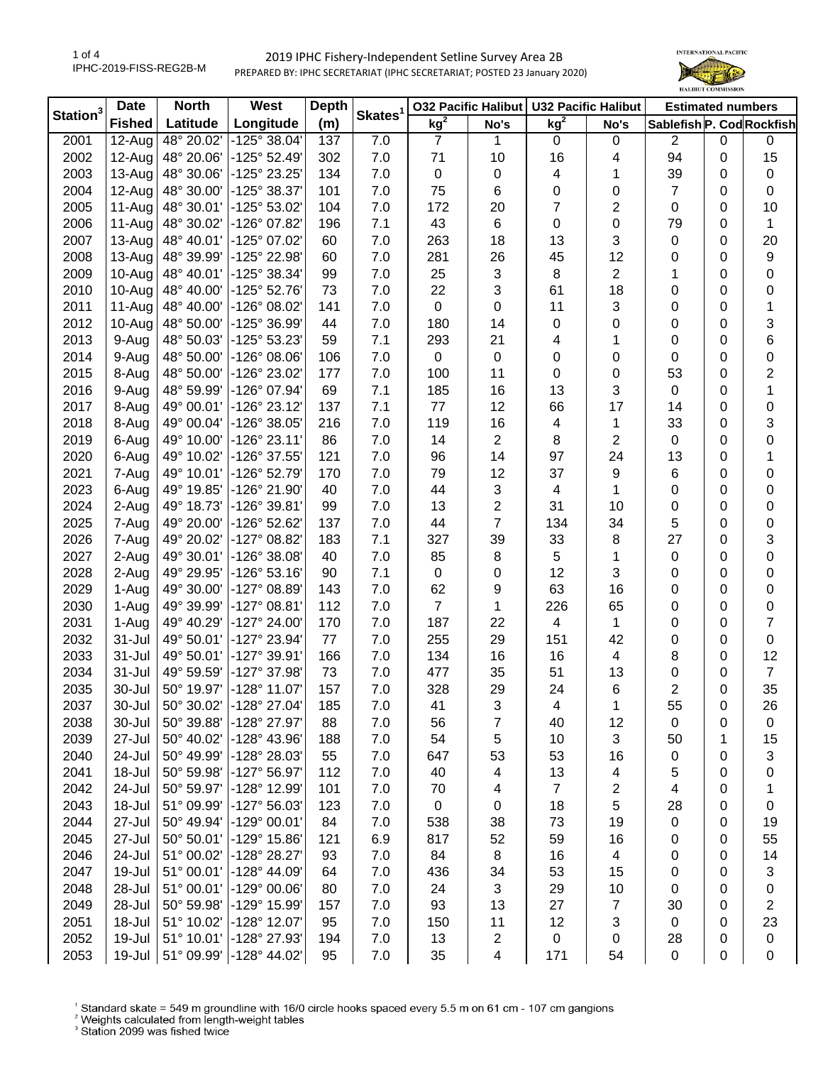## 2019 IPHC Fishery-Independent Setline Survey Area 2B PREPARED BY: IPHC SECRETARIAT (IPHC SECRETARIAT; POSTED 23 January 2020)



| Station $3$ | <b>Date</b>   | <b>North</b><br>West |                              | <b>Depth</b> | Skates <sup>1</sup> | <b>032 Pacific Halibut</b> |                | <b>U32 Pacific Halibut</b> |                         | <b>Estimated numbers</b>  |             |                  |
|-------------|---------------|----------------------|------------------------------|--------------|---------------------|----------------------------|----------------|----------------------------|-------------------------|---------------------------|-------------|------------------|
|             | <b>Fished</b> | Latitude             | Longitude                    | (m)          |                     | kg <sup>2</sup>            | No's           | kg <sup>2</sup>            | No's                    | Sablefish P. Cod Rockfish |             |                  |
| 2001        | $12-Au$ g     | 48° 20.02'           | -125° 38.04'                 | 137          | 7.0                 | $\overline{7}$             | 1              | $\mathbf 0$                | 0                       | $\overline{2}$            | $\mathbf 0$ | 0                |
| 2002        | 12-Aug        | 48° 20.06'           | $-125°52.49'$                | 302          | 7.0                 | 71                         | 10             | 16                         | 4                       | 94                        | 0           | 15               |
| 2003        | 13-Aug        | 48° 30.06'           | -125° 23.25'                 | 134          | 7.0                 | 0                          | 0              | 4                          | 1                       | 39                        | 0           | $\pmb{0}$        |
| 2004        | 12-Aug        | 48° 30.00'           | -125° 38.37'                 | 101          | 7.0                 | 75                         | 6              | 0                          | 0                       | 7                         | 0           | $\mathbf 0$      |
| 2005        | 11-Aug        | 48° 30.01'           | -125° 53.02'                 | 104          | 7.0                 | 172                        | 20             | 7                          | 2                       | 0                         | 0           | 10               |
| 2006        | 11-Aug        | 48° 30.02'           | $-126^{\circ}$ 07.82         | 196          | 7.1                 | 43                         | 6              | 0                          | 0                       | 79                        | 0           | 1                |
| 2007        | 13-Aug        | 48° 40.01'           | -125° 07.02'                 | 60           | 7.0                 | 263                        | 18             | 13                         | 3                       | 0                         | 0           | 20               |
| 2008        | 13-Aug        | 48° 39.99'           | -125° 22.98'                 | 60           | 7.0                 | 281                        | 26             | 45                         | 12                      | 0                         | 0           | $\boldsymbol{9}$ |
| 2009        | 10-Aug        | 48° 40.01'           | -125° 38.34'                 | 99           | 7.0                 | 25                         | 3              | 8                          | $\overline{2}$          | 1                         | 0           | 0                |
| 2010        | 10-Aug        | 48° 40.00'           | -125° 52.76'                 | 73           | 7.0                 | 22                         | 3              | 61                         | 18                      | 0                         | $\Omega$    | 0                |
| 2011        | 11-Aug        | 48° 40.00'           | -126° 08.02'                 | 141          | 7.0                 | 0                          | 0              | 11                         | 3                       | 0                         | $\Omega$    | 1                |
| 2012        | 10-Aug        | 48° 50.00'           | -125° 36.99'                 | 44           | 7.0                 | 180                        | 14             | 0                          | 0                       | 0                         | $\Omega$    | 3                |
| 2013        | 9-Aug         | 48° 50.03'           | -125° 53.23'                 | 59           | 7.1                 | 293                        | 21             | 4                          | 1                       | 0                         | 0           | $\,6$            |
| 2014        | 9-Aug         | 48° 50.00'           | $-126^{\circ}$ 08.06         | 106          | 7.0                 | 0                          | 0              | 0                          | 0                       | 0                         | 0           | $\pmb{0}$        |
| 2015        | 8-Aug         | 48° 50.00'           | -126° 23.02'                 | 177          | 7.0                 | 100                        | 11             | 0                          | 0                       | 53                        | 0           | $\overline{c}$   |
| 2016        | 9-Aug         | 48° 59.99'           | -126° 07.94'                 | 69           | 7.1                 | 185                        | 16             | 13                         | 3                       | 0                         | 0           | 1                |
| 2017        | 8-Aug         | 49° 00.01'           | $-126°23.12'$                | 137          | 7.1                 | 77                         | 12             | 66                         | 17                      | 14                        | 0           | $\pmb{0}$        |
| 2018        | 8-Aug         | 49° 00.04'           | -126° 38.05'                 | 216          | 7.0                 | 119                        | 16             | 4                          | 1                       | 33                        | $\Omega$    | 3                |
| 2019        | 6-Aug         | 49° 10.00'           | $-126°23.11'$                | 86           | 7.0                 | 14                         | $\overline{2}$ | 8                          | $\overline{2}$          | 0                         | 0           | 0                |
| 2020        | 6-Aug         | 49° 10.02'           | -126° 37.55'                 | 121          | 7.0                 | 96                         | 14             | 97                         | 24                      | 13                        | 0           | 1                |
| 2021        | 7-Aug         | 49° 10.01'           | -126° 52.79'                 | 170          | 7.0                 | 79                         | 12             | 37                         | 9                       | 6                         | 0           | 0                |
| 2023        | 6-Aug         | 49° 19.85'           | -126° 21.90'                 | 40           | 7.0                 | 44                         | 3              | 4                          | 1                       | 0                         | 0           | 0                |
| 2024        | 2-Aug         | 49° 18.73'           | -126° 39.81'                 | 99           | 7.0                 | 13                         | $\overline{c}$ | 31                         | 10                      | 0                         | 0           | 0                |
| 2025        | 7-Aug         | 49° 20.00'           | -126° 52.62'                 | 137          | 7.0                 | 44                         | $\overline{7}$ | 134                        | 34                      | 5                         | 0           | 0                |
| 2026        | 7-Aug         | 49° 20.02'           | -127° 08.82'                 | 183          | 7.1                 | 327                        | 39             | 33                         | 8                       | 27                        | 0           | 3                |
| 2027        | 2-Aug         | 49° 30.01'           | -126° 38.08'                 | 40           | 7.0                 | 85                         | 8              | 5                          | 1                       | 0                         | $\Omega$    | 0                |
| 2028        | 2-Aug         | 49° 29.95'           | $-126°53.16'$                | 90           | 7.1                 | 0                          | 0              | 12                         | 3                       | 0                         | $\Omega$    | $\pmb{0}$        |
| 2029        | 1-Aug         | 49° 30.00'           | -127° 08.89'                 | 143          | 7.0                 | 62                         | 9              | 63                         | 16                      | 0                         | $\Omega$    | $\pmb{0}$        |
| 2030        | 1-Aug         | 49° 39.99'           | -127° 08.81'                 | 112          | 7.0                 | $\overline{7}$             | 1              | 226                        | 65                      | 0                         | $\Omega$    | $\pmb{0}$        |
| 2031        | 1-Aug         | 49° 40.29'           | $-127^{\circ} 24.00^{\circ}$ | 170          | 7.0                 | 187                        | 22             | 4                          | 1                       | 0                         | 0           | 7                |
| 2032        | 31-Jul        | 49° 50.01'           | -127° 23.94'                 | 77           | 7.0                 | 255                        | 29             | 151                        | 42                      | 0                         | 0           | $\mathsf 0$      |
| 2033        | 31-Jul        | 49° 50.01'           | -127° 39.91'                 | 166          | 7.0                 | 134                        | 16             | 16                         | $\overline{4}$          | 8                         | 0           | 12               |
| 2034        | 31-Jul        | 49° 59.59'           | -127° 37.98'                 | 73           | 7.0                 | 477                        | 35             | 51                         | 13                      | 0                         | 0           | $\overline{7}$   |
| 2035        | 30-Jul        | 50° 19.97'           | $-128°11.07'$                | 157          | 7.0                 | 328                        | 29             | 24                         | 6                       | $\overline{2}$            | 0           | 35               |
| 2037        | 30-Jul        | 50° 30.02'           | $-128° 27.04$                | 185          | 7.0                 | 41                         | 3              | 4                          | 1                       | 55                        | 0           | 26               |
| 2038        | 30-Jul        | 50° 39.88'           | -128° 27.97'                 | 88           | 7.0                 | 56                         | 7              | 40                         | 12                      | 0                         | 0           | 0                |
| 2039        | 27-Jul        | 50° 40.02'           | -128° 43.96'                 | 188          | 7.0                 | 54                         | 5              | 10                         | 3                       | 50                        | 1           | 15               |
| 2040        | 24-Jul        | 50° 49.99'           | -128° 28.03'                 | 55           | 7.0                 | 647                        | 53             | 53                         | 16                      | 0                         | 0           | 3                |
| 2041        | 18-Jul        | 50° 59.98'           | -127° 56.97'                 | 112          | 7.0                 | 40                         | 4              | 13                         | 4                       | 5                         | 0           | 0                |
| 2042        | 24-Jul        | 50° 59.97'           | -128° 12.99'                 | 101          | 7.0                 | 70                         | 4              | 7                          | 2                       | 4                         | 0           | 1                |
| 2043        | 18-Jul        | 51° 09.99'           | -127° 56.03'                 | 123          | 7.0                 | $\pmb{0}$                  | 0              | 18                         | 5                       | 28                        | 0           | 0                |
| 2044        | 27-Jul        | 50° 49.94'           | -129° 00.01'                 | 84           | 7.0                 | 538                        | 38             | 73                         | 19                      | 0                         | 0           | 19               |
| 2045        | 27-Jul        | 50° 50.01'           | -129° 15.86'                 | 121          | 6.9                 | 817                        | 52             | 59                         | 16                      | 0                         | 0           | 55               |
| 2046        | 24-Jul        | 51° 00.02'           | -128° 28.27'                 | 93           | 7.0                 | 84                         | 8              | 16                         | $\overline{\mathbf{4}}$ | 0                         | 0           | 14               |
| 2047        | 19-Jul        | 51° 00.01'           | -128° 44.09'                 | 64           | 7.0                 | 436                        | 34             | 53                         | 15                      | 0                         | 0           | 3                |
| 2048        | 28-Jul        | 51° 00.01'           | -129° 00.06'                 | 80           | 7.0                 | 24                         | 3              | 29                         | 10                      | 0                         | 0           | 0                |
| 2049        | 28-Jul        | 50° 59.98'           | -129° 15.99'                 | 157          | 7.0                 | 93                         | 13             | 27                         | $\overline{7}$          | 30                        | 0           | 2                |
| 2051        | 18-Jul        | 51° 10.02'           | -128° 12.07'                 | 95           | 7.0                 | 150                        | 11             | 12                         | 3                       | $\mathbf 0$               | 0           | 23               |
| 2052        | 19-Jul        | 51° 10.01'           | -128° 27.93'                 | 194          | 7.0                 | 13                         | 2              | 0                          | 0                       | 28                        | 0           |                  |
| 2053        | 19-Jul        | 51° 09.99'           | -128° 44.02'                 | 95           | 7.0                 | 35                         |                | 171                        | 54                      | $\pmb{0}$                 |             | 0<br>0           |
|             |               |                      |                              |              |                     |                            | 4              |                            |                         |                           | 0           |                  |

<sup>1</sup> Standard skate = 549 m groundline with 16/0 circle hooks spaced every 5.5 m on 61 cm - 107 cm gangions <sup>2</sup> Weights calculated from length-weight tables<br><sup>2</sup> Weights calculated from length-weight tables<br><sup>3</sup> Station 2099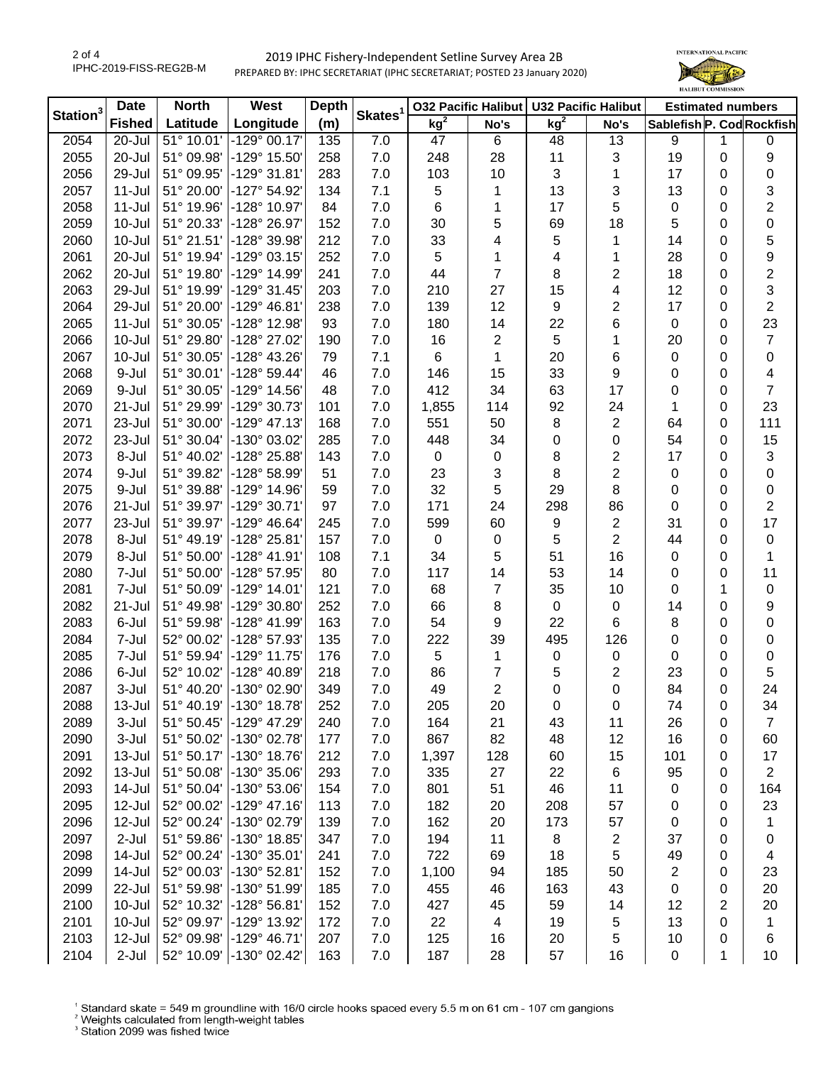## 2019 IPHC Fishery-Independent Setline Survey Area 2B PREPARED BY: IPHC SECRETARIAT (IPHC SECRETARIAT; POSTED 23 January 2020)



| Station <sup>3</sup> | <b>Date</b>   | <b>North</b><br>West |                         | <b>Depth</b> | Skates <sup>1</sup> |             |                | 032 Pacific Halibut   U32 Pacific Halibut |                         | <b>Estimated numbers</b>  |                |                         |
|----------------------|---------------|----------------------|-------------------------|--------------|---------------------|-------------|----------------|-------------------------------------------|-------------------------|---------------------------|----------------|-------------------------|
|                      | <b>Fished</b> | Latitude             | Longitude               | (m)          |                     | $kg^2$      | No's           | kg <sup>2</sup>                           | No's                    | Sablefish P. Cod Rockfish |                |                         |
| 2054                 | 20-Jul        | 51° 10.01'           | $-129°00.17'$           | 135          | 7.0                 | 47          | 6              | 48                                        | 13                      | 9                         | 1              | 0                       |
| 2055                 | 20-Jul        | 51° 09.98'           | -129° 15.50'            | 258          | 7.0                 | 248         | 28             | 11                                        | 3                       | 19                        | 0              | 9                       |
| 2056                 | 29-Jul        | 51° 09.95'           | -129° 31.81'            | 283          | 7.0                 | 103         | 10             | 3                                         | 1                       | 17                        | 0              | $\pmb{0}$               |
| 2057                 | $11 -$ Jul    | 51° 20.00'           | -127° 54.92'            | 134          | 7.1                 | 5           | 1              | 13                                        | 3                       | 13                        | 0              | 3                       |
| 2058                 | $11 -$ Jul    | 51° 19.96'           | -128° 10.97'            | 84           | 7.0                 | 6           | 1              | 17                                        | 5                       | $\pmb{0}$                 | 0              | $\overline{c}$          |
| 2059                 | $10 -$ Jul    | 51° 20.33'           | -128° 26.97'            | 152          | 7.0                 | 30          | 5              | 69                                        | 18                      | 5                         | 0              | $\mathbf 0$             |
| 2060                 | $10 -$ Jul    | 51° 21.51'           | -128° 39.98'            | 212          | 7.0                 | 33          | 4              | 5                                         | 1                       | 14                        | 0              | 5                       |
| 2061                 | 20-Jul        | 51° 19.94'           | -129° 03.15'            | 252          | 7.0                 | 5           | 1              | 4                                         | 1                       | 28                        | 0              | 9                       |
| 2062                 | 20-Jul        | 51° 19.80'           | -129° 14.99'            | 241          | 7.0                 | 44          | 7              | 8                                         | $\overline{\mathbf{c}}$ | 18                        | 0              | 2                       |
| 2063                 | 29-Jul        | 51° 19.99'           | -129° 31.45'            | 203          | 7.0                 | 210         | 27             | 15                                        | 4                       | 12                        | 0              | 3                       |
| 2064                 | 29-Jul        | 51° 20.00'           | -129° 46.81'            | 238          | 7.0                 | 139         | 12             | 9                                         | $\overline{\mathbf{c}}$ | 17                        | 0              | $\overline{c}$          |
| 2065                 | $11 -$ Jul    | 51° 30.05'           | -128° 12.98'            | 93           | 7.0                 | 180         | 14             | 22                                        | 6                       | $\pmb{0}$                 | 0              | 23                      |
| 2066                 | 10-Jul        | 51° 29.80'           | -128° 27.02'            | 190          | 7.0                 | 16          | 2              | 5                                         | 1                       | 20                        | 0              | $\boldsymbol{7}$        |
| 2067                 | 10-Jul        | 51° 30.05'           | -128° 43.26'            | 79           | 7.1                 | 6           | 1              | 20                                        | 6                       | 0                         | 0              | $\pmb{0}$               |
| 2068                 | 9-Jul         | 51° 30.01'           | -128° 59.44'            | 46           | 7.0                 | 146         | 15             | 33                                        | 9                       | 0                         | 0              | $\overline{\mathbf{4}}$ |
| 2069                 | 9-Jul         | 51° 30.05'           | -129° 14.56'            | 48           | 7.0                 | 412         | 34             | 63                                        | 17                      | 0                         | 0              | $\overline{7}$          |
| 2070                 | 21-Jul        | 51° 29.99'           | -129° 30.73'            | 101          | 7.0                 | 1,855       | 114            | 92                                        | 24                      | 1                         | 0              | 23                      |
| 2071                 | 23-Jul        | 51° 30.00'           | $-129°$ 47.13           | 168          | 7.0                 | 551         | 50             | 8                                         | $\overline{c}$          | 64                        | 0              | 111                     |
| 2072                 | 23-Jul        | 51° 30.04'           | -130° 03.02'            | 285          | 7.0                 | 448         | 34             | 0                                         | 0                       | 54                        | 0              | 15                      |
| 2073                 | 8-Jul         | 51° 40.02'           | -128° 25.88'            | 143          | 7.0                 | $\mathbf 0$ | 0              | 8                                         | 2                       | 17                        | 0              | 3                       |
| 2074                 | 9-Jul         | 51° 39.82'           | -128° 58.99'            | 51           | 7.0                 | 23          | 3              | 8                                         | $\overline{\mathbf{c}}$ | $\pmb{0}$                 | 0              | $\pmb{0}$               |
| 2075                 | 9-Jul         | 51° 39.88'           | -129° 14.96'            | 59           | 7.0                 | 32          | 5              | 29                                        | 8                       | 0                         | 0              | $\pmb{0}$               |
| 2076                 | $21 -$ Jul    | 51° 39.97'           | -129° 30.71'            | 97           | 7.0                 | 171         | 24             | 298                                       | 86                      | 0                         | 0              | $\overline{\mathbf{c}}$ |
| 2077                 | 23-Jul        | 51° 39.97'           | -129° 46.64'            | 245          | 7.0                 | 599         | 60             | 9                                         | $\overline{c}$          | 31                        | 0              | 17                      |
| 2078                 | 8-Jul         | 51° 49.19'           | -128° 25.81'            | 157          | 7.0                 | 0           | 0              | 5                                         | $\overline{\mathbf{c}}$ | 44                        | 0              | $\pmb{0}$               |
| 2079                 | 8-Jul         | 51° 50.00'           | -128° 41.91'            | 108          | 7.1                 | 34          | 5              | 51                                        | 16                      | 0                         | 0              | $\mathbf{1}$            |
| 2080                 | 7-Jul         | 51° 50.00'           | -128° 57.95'            | 80           | 7.0                 | 117         | 14             | 53                                        | 14                      | 0                         | 0              | 11                      |
| 2081                 | 7-Jul         | 51° 50.09'           | -129° 14.01'            | 121          | 7.0                 | 68          | 7              | 35                                        | 10                      | 0                         | 1              | $\pmb{0}$               |
| 2082                 | 21-Jul        | 51° 49.98'           | -129° 30.80'            | 252          | 7.0                 | 66          | 8              | $\pmb{0}$                                 | 0                       | 14                        | 0              | $\boldsymbol{9}$        |
| 2083                 | 6-Jul         | 51° 59.98'           | -128° 41.99'            | 163          | 7.0                 | 54          | 9              | 22                                        | 6                       | 8                         | 0              | $\mathbf 0$             |
| 2084                 | 7-Jul         | 52° 00.02'           | -128° 57.93'            | 135          | 7.0                 | 222         | 39             | 495                                       | 126                     | 0                         | 0              | $\pmb{0}$               |
| 2085                 | 7-Jul         | 51° 59.94'           | -129° 11.75'            | 176          | 7.0                 | 5           | 1              | $\pmb{0}$                                 | 0                       | 0                         | 0              | $\pmb{0}$               |
| 2086                 | 6-Jul         | 52° 10.02'           | $-128°$ 40.89           | 218          | 7.0                 | 86          | 7              | 5                                         | 2                       | 23                        | 0              | 5                       |
| 2087                 | 3-Jul         | 51° 40.20'           | -130° 02.90'            | 349          | 7.0                 | 49          | $\overline{2}$ | $\boldsymbol{0}$                          | 0                       | 84                        | 0              | 24                      |
| 2088                 | 13-Jul        | 51° 40.19'           | -130° 18.78             | 252          | 7.0                 | 205         | 20             | 0                                         | 0                       | 74                        | 0              | 34                      |
| 2089                 | 3-Jul         | 51° 50.45'           | -129° 47.29'            | 240          | 7.0                 | 164         | 21             | 43                                        | 11                      | 26                        | 0              | 7                       |
| 2090                 | 3-Jul         | 51° 50.02'           | -130° 02.78'            | 177          | 7.0                 | 867         | 82             | 48                                        | 12                      | 16                        | 0              | 60                      |
| 2091                 | $13 -$ Jul    | 51° 50.17'           | -130° 18.76'            | 212          | 7.0                 | 1,397       | 128            | 60                                        | 15                      | 101                       | 0              | 17                      |
| 2092                 | 13-Jul        | 51° 50.08'           | -130° 35.06'            | 293          | 7.0                 | 335         | 27             | 22                                        | 6                       | 95                        | 0              | 2                       |
| 2093                 | 14-Jul        | 51° 50.04'           | -130° 53.06'            | 154          | 7.0                 | 801         | 51             | 46                                        | 11                      | 0                         | 0              | 164                     |
| 2095                 | 12-Jul        | 52° 00.02'           | -129° 47.16'            | 113          | 7.0                 | 182         | 20             | 208                                       | 57                      | 0                         | 0              | 23                      |
| 2096                 | 12-Jul        | 52° 00.24'           | -130° 02.79'            | 139          | 7.0                 | 162         | 20             | 173                                       | 57                      | 0                         | 0              | 1                       |
| 2097                 | $2-Jul$       | 51° 59.86'           | -130° 18.85'            | 347          | 7.0                 | 194         | 11             | 8                                         | 2                       | 37                        | 0              | 0                       |
| 2098                 | 14-Jul        | 52° 00.24'           | -130° 35.01'            | 241          | 7.0                 | 722         | 69             | 18                                        | 5                       | 49                        | 0              | 4                       |
| 2099                 | 14-Jul        | 52° 00.03'           | -130° 52.81'            | 152          | 7.0                 | 1,100       | 94             | 185                                       | 50                      | $\overline{\mathbf{c}}$   | 0              | 23                      |
| 2099                 | 22-Jul        | 51° 59.98'           | -130° 51.99'            | 185          | 7.0                 | 455         | 46             | 163                                       | 43                      | 0                         | 0              | 20                      |
| 2100                 | 10-Jul        | 52° 10.32'           | -128° 56.81'            | 152          | 7.0                 | 427         | 45             | 59                                        | 14                      | 12                        | $\overline{2}$ | 20                      |
| 2101                 | 10-Jul        | 52° 09.97'           | -129° 13.92'            | 172          | 7.0                 | 22          | 4              | 19                                        | 5                       | 13                        | 0              | 1                       |
| 2103                 | 12-Jul        | 52° 09.98'           | -129° 46.71'            | 207          | 7.0                 | 125         | 16             | 20                                        | 5                       | 10                        | 0              | 6                       |
| 2104                 | $2-Jul$       |                      | 52° 10.09' -130° 02.42' | 163          | 7.0                 | 187         | 28             | 57                                        | 16                      | 0                         | 1              | 10                      |

<sup>1</sup> Standard skate = 549 m groundline with 16/0 circle hooks spaced every 5.5 m on 61 cm - 107 cm gangions <sup>2</sup> Weights calculated from length-weight tables<br><sup>2</sup> Weights calculated from length-weight tables<br><sup>3</sup> Station 2099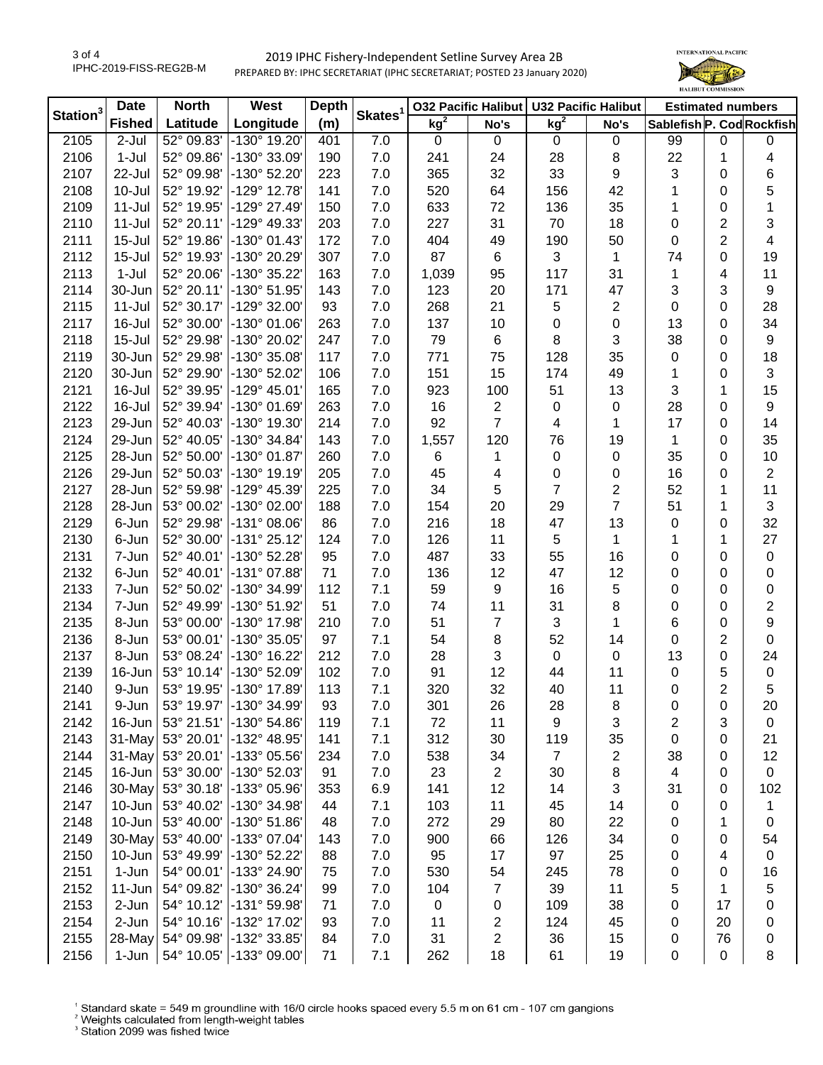## 2019 IPHC Fishery-Independent Setline Survey Area 2B PREPARED BY: IPHC SECRETARIAT (IPHC SECRETARIAT; POSTED 23 January 2020)



| kg <sup>2</sup><br>Latitude<br>Longitude<br>Sablefish P. Cod Rockfish<br><b>Fished</b><br>(m)<br>No's<br>No's<br>2105<br>52° 09.83'<br>-130° 19.20'<br>7.0<br>2-Jul<br>$\mathbf 0$<br>401<br>0<br>0<br>0<br>0<br>99<br>0<br>2106<br>$1-Jul$<br>52° 09.86'<br>-130° 33.09'<br>7.0<br>241<br>28<br>22<br>190<br>24<br>8<br>1<br>4<br>6<br>2107<br>52° 09.98'<br>-130° 52.20'<br>7.0<br>365<br>32<br>33<br>9<br>3<br>22-Jul<br>223<br>0<br>5<br>2108<br>10-Jul<br>52° 19.92'<br>$-129°$ 12.78<br>141<br>7.0<br>520<br>64<br>42<br>$\Omega$<br>156<br>1<br>2109<br>$11 -$ Jul<br>52° 19.95'<br>-129° 27.49'<br>150<br>7.0<br>633<br>72<br>35<br>0<br>136<br>1<br>1<br>7.0<br>$\overline{2}$<br>3<br>2110<br>$11 -$ Jul<br>52° 20.11'<br>$-129°$ 49.33<br>227<br>31<br>70<br>18<br>203<br>0<br>52° 19.86'<br>$\overline{2}$<br>2111<br>$15 -$ Jul<br>-130° 01.43'<br>172<br>7.0<br>404<br>49<br>190<br>50<br>4<br>0<br>-130° 20.29'<br>87<br>2112<br>$15 -$ Jul<br>52° 19.93'<br>307<br>7.0<br>6<br>3<br>74<br>0<br>19<br>1<br>2113<br>$1-Jul$<br>52° 20.06'<br>-130° 35.22<br>163<br>7.0<br>1,039<br>95<br>117<br>31<br>1<br>4<br>11<br>3<br>3<br>2114<br>30-Jun<br>52° 20.11'<br>-130° 51.95'<br>7.0<br>123<br>20<br>171<br>47<br>9<br>143<br>7.0<br>21<br>$\mathbf{2}$<br>0<br>28<br>2115<br>$11 -$ Jul<br>52° 30.17'<br>-129° 32.00'<br>93<br>268<br>5<br>0<br>7.0<br>0<br>34<br>2117<br>16-Jul<br>52° 30.00'<br>-130° 01.06'<br>263<br>137<br>10<br>0<br>13<br>0<br>3<br>7.0<br>8<br>$\boldsymbol{9}$<br>2118<br>$15 -$ Jul<br>52° 29.98'<br>-130° 20.02'<br>247<br>79<br>6<br>38<br>0<br>7.0<br>35<br>18<br>52° 29.98'<br>$-130^{\circ}35.08$<br>117<br>771<br>75<br>128<br>0<br>2119<br>30-Jun<br>0<br>7.0<br>15<br>3<br>2120<br>30-Jun<br>52° 29.90'<br>$-130^{\circ}$ 52.02<br>106<br>151<br>174<br>49<br>0<br>1<br>15<br>100<br>2121<br>16-Jul<br>52° 39.95'<br>$-129°$ 45.01'<br>165<br>7.0<br>923<br>51<br>13<br>3<br>1<br>2122<br>16-Jul<br>52° 39.94'<br>$-130^{\circ}$ 01.69<br>263<br>7.0<br>16<br>28<br>0<br>9<br>2<br>$\mathbf 0$<br>0<br>92<br>$\overline{7}$<br>17<br>2123<br>29-Jun<br>52° 40.03'<br>-130° 19.30'<br>7.0<br>14<br>214<br>4<br>0<br>1<br>35<br>2124<br>29-Jun<br>52° 40.05'<br>-130° 34.84'<br>143<br>7.0<br>1,557<br>120<br>76<br>19<br>0<br>1<br>2125<br>28-Jun<br>52° 50.00'<br>-130° 01.87'<br>7.0<br>35<br>0<br>10<br>260<br>6<br>$\mathbf 0$<br>0<br>1<br>$\overline{2}$<br>2126<br>29-Jun<br>52° 50.03'<br>-130° 19.19'<br>7.0<br>45<br>16<br>0<br>205<br>0<br>0<br>4<br>7<br>2<br>11<br>2127<br>28-Jun<br>52° 59.98'<br>-129° 45.39'<br>225<br>7.0<br>34<br>5<br>52<br>1<br>$\overline{7}$<br>53° 00.02'<br>3<br>2128<br>28-Jun<br>-130° 02.00'<br>188<br>7.0<br>20<br>29<br>51<br>1<br>154<br>32<br>52° 29.98'<br>-131° 08.06'<br>47<br>2129<br>6-Jun<br>86<br>7.0<br>216<br>18<br>13<br>0<br>0<br>27<br>2130<br>52° 30.00'<br>-131° 25.12'<br>7.0<br>126<br>11<br>$\,$ 5 $\,$<br>1<br>1<br>6-Jun<br>124<br>1<br>7.0<br>55<br>2131<br>7-Jun<br>52° 40.01'<br>-130° 52.28'<br>95<br>487<br>33<br>16<br>0<br>$\pmb{0}$<br>0<br>71<br>7.0<br>12<br>12<br>2132<br>52° 40.01'<br>-131° 07.88'<br>136<br>47<br>0<br>0<br>0<br>6-Jun<br>7.1<br>59<br>9<br>16<br>5<br>0<br>$\pmb{0}$<br>2133<br>52° 50.02'<br>-130° 34.99'<br>112<br>0<br>7-Jun<br>$\overline{c}$<br>7.0<br>11<br>31<br>8<br>2134<br>7-Jun<br>52° 49.99'<br>-130° 51.92'<br>51<br>74<br>0<br>0<br>9<br>7.0<br>3<br>2135<br>8-Jun<br>53° 00.00'<br>-130° 17.98'<br>210<br>51<br>7<br>1<br>6<br>0<br>7.1<br>52<br>$\overline{2}$<br>2136<br>53° 00.01'<br>-130° 35.05'<br>97<br>54<br>8<br>0<br>$\pmb{0}$<br>8-Jun<br>14<br>7.0<br>3<br>2137<br>53° 08.24'<br>$-130^{\circ}$ 16.22<br>212<br>28<br>0<br>13<br>0<br>24<br>8-Jun<br>0<br>12<br>2139<br>53° 10.14'<br>$-130^{\circ}$ 52.09<br>7.0<br>91<br>11<br>5<br>16-Jun<br>102<br>44<br>$\pmb{0}$<br>0<br>7.1<br>32<br>11<br>$\overline{2}$<br>5<br>2140<br>53° 19.95'<br>-130° 17.89<br>113<br>320<br>40<br>9-Jun<br>0<br>2141<br>9-Jun<br>53° 19.97'<br>$-130^{\circ}$ 34.99<br>93<br>7.0<br>301<br>26<br>28<br>8<br>0<br>0<br>20<br>11<br>3<br>2<br>3<br>2142<br>16-Jun<br>53° 21.51'<br>$-130^{\circ} 54.86'$<br>119<br>7.1<br>72<br>9<br>0<br>2143<br>31-May<br>53° 20.01'<br>-132° 48.95'<br>141<br>7.1<br>312<br>30<br>119<br>35<br>21<br>0<br>0<br>31-May<br>53° 20.01'<br>7.0<br>$\overline{7}$<br>12<br>2144<br>-133° 05.56'<br>234<br>538<br>34<br>2<br>38<br>0<br>16-Jun<br>53° 30.00'<br>91<br>7.0<br>23<br>2145<br>-130° 52.03'<br>$\overline{2}$<br>30<br>8<br>4<br>0<br>$\mathbf 0$<br>53° 30.18'<br>30-May<br>-133° 05.96'<br>6.9<br>12<br>3<br>102<br>2146<br>353<br>141<br>14<br>31<br>0<br>2147<br>10-Jun<br>53° 40.02'<br>-130° 34.98'<br>11<br>44<br>7.1<br>103<br>45<br>14<br>0<br>0<br>1<br>10-Jun<br>53° 40.00'<br>-130° 51.86'<br>7.0<br>272<br>22<br>2148<br>48<br>29<br>80<br>0<br>1<br>0<br>30-May<br>53° 40.00'<br>-133° 07.04'<br>7.0<br>66<br>2149<br>143<br>900<br>126<br>34<br>0<br>0<br>54<br>2150<br>53° 49.99'<br>-130° 52.22'<br>88<br>7.0<br>95<br>17<br>97<br>25<br>$\pmb{0}$<br>10-Jun<br>0<br>4<br>2151<br>1-Jun<br>54° 00.01'<br>-133° 24.90'<br>7.0<br>530<br>54<br>78<br>16<br>75<br>245<br>0<br>0 |                      | <b>Date</b> | <b>North</b><br>West |  | <b>Depth</b> | Skates <sup>1</sup> | <b>032 Pacific Halibut</b> |  | <b>U32 Pacific Halibut</b> |  | <b>Estimated numbers</b> |  |  |
|-------------------------------------------------------------------------------------------------------------------------------------------------------------------------------------------------------------------------------------------------------------------------------------------------------------------------------------------------------------------------------------------------------------------------------------------------------------------------------------------------------------------------------------------------------------------------------------------------------------------------------------------------------------------------------------------------------------------------------------------------------------------------------------------------------------------------------------------------------------------------------------------------------------------------------------------------------------------------------------------------------------------------------------------------------------------------------------------------------------------------------------------------------------------------------------------------------------------------------------------------------------------------------------------------------------------------------------------------------------------------------------------------------------------------------------------------------------------------------------------------------------------------------------------------------------------------------------------------------------------------------------------------------------------------------------------------------------------------------------------------------------------------------------------------------------------------------------------------------------------------------------------------------------------------------------------------------------------------------------------------------------------------------------------------------------------------------------------------------------------------------------------------------------------------------------------------------------------------------------------------------------------------------------------------------------------------------------------------------------------------------------------------------------------------------------------------------------------------------------------------------------------------------------------------------------------------------------------------------------------------------------------------------------------------------------------------------------------------------------------------------------------------------------------------------------------------------------------------------------------------------------------------------------------------------------------------------------------------------------------------------------------------------------------------------------------------------------------------------------------------------------------------------------------------------------------------------------------------------------------------------------------------------------------------------------------------------------------------------------------------------------------------------------------------------------------------------------------------------------------------------------------------------------------------------------------------------------------------------------------------------------------------------------------------------------------------------------------------------------------------------------------------------------------------------------------------------------------------------------------------------------------------------------------------------------------------------------------------------------------------------------------------------------------------------------------------------------------------------------------------------------------------------------------------------------------------------------------------------------------------------------------------------------------------------------------------------------------------------------------------------------------------------------------------------------------------------------------------------------------------------------------------------------------------------------------------------------------------------------------------------------------------------------------------------------------------------------------------------------------------------------------------------------------------------------------------------------------------------------------------------------------------------------------------------------------------------------------------------------------------------------------------------------------------------------------------------------------------------------------------------------------------------------------------------------------------|----------------------|-------------|----------------------|--|--------------|---------------------|----------------------------|--|----------------------------|--|--------------------------|--|--|
|                                                                                                                                                                                                                                                                                                                                                                                                                                                                                                                                                                                                                                                                                                                                                                                                                                                                                                                                                                                                                                                                                                                                                                                                                                                                                                                                                                                                                                                                                                                                                                                                                                                                                                                                                                                                                                                                                                                                                                                                                                                                                                                                                                                                                                                                                                                                                                                                                                                                                                                                                                                                                                                                                                                                                                                                                                                                                                                                                                                                                                                                                                                                                                                                                                                                                                                                                                                                                                                                                                                                                                                                                                                                                                                                                                                                                                                                                                                                                                                                                                                                                                                                                                                                                                                                                                                                                                                                                                                                                                                                                                                                                                                                                                                                                                                                                                                                                                                                                                                                                                                                                                                                                                                                 | Station <sup>3</sup> |             |                      |  |              |                     | $kg^2$                     |  |                            |  |                          |  |  |
|                                                                                                                                                                                                                                                                                                                                                                                                                                                                                                                                                                                                                                                                                                                                                                                                                                                                                                                                                                                                                                                                                                                                                                                                                                                                                                                                                                                                                                                                                                                                                                                                                                                                                                                                                                                                                                                                                                                                                                                                                                                                                                                                                                                                                                                                                                                                                                                                                                                                                                                                                                                                                                                                                                                                                                                                                                                                                                                                                                                                                                                                                                                                                                                                                                                                                                                                                                                                                                                                                                                                                                                                                                                                                                                                                                                                                                                                                                                                                                                                                                                                                                                                                                                                                                                                                                                                                                                                                                                                                                                                                                                                                                                                                                                                                                                                                                                                                                                                                                                                                                                                                                                                                                                                 |                      |             |                      |  |              |                     |                            |  |                            |  |                          |  |  |
|                                                                                                                                                                                                                                                                                                                                                                                                                                                                                                                                                                                                                                                                                                                                                                                                                                                                                                                                                                                                                                                                                                                                                                                                                                                                                                                                                                                                                                                                                                                                                                                                                                                                                                                                                                                                                                                                                                                                                                                                                                                                                                                                                                                                                                                                                                                                                                                                                                                                                                                                                                                                                                                                                                                                                                                                                                                                                                                                                                                                                                                                                                                                                                                                                                                                                                                                                                                                                                                                                                                                                                                                                                                                                                                                                                                                                                                                                                                                                                                                                                                                                                                                                                                                                                                                                                                                                                                                                                                                                                                                                                                                                                                                                                                                                                                                                                                                                                                                                                                                                                                                                                                                                                                                 |                      |             |                      |  |              |                     |                            |  |                            |  |                          |  |  |
|                                                                                                                                                                                                                                                                                                                                                                                                                                                                                                                                                                                                                                                                                                                                                                                                                                                                                                                                                                                                                                                                                                                                                                                                                                                                                                                                                                                                                                                                                                                                                                                                                                                                                                                                                                                                                                                                                                                                                                                                                                                                                                                                                                                                                                                                                                                                                                                                                                                                                                                                                                                                                                                                                                                                                                                                                                                                                                                                                                                                                                                                                                                                                                                                                                                                                                                                                                                                                                                                                                                                                                                                                                                                                                                                                                                                                                                                                                                                                                                                                                                                                                                                                                                                                                                                                                                                                                                                                                                                                                                                                                                                                                                                                                                                                                                                                                                                                                                                                                                                                                                                                                                                                                                                 |                      |             |                      |  |              |                     |                            |  |                            |  |                          |  |  |
|                                                                                                                                                                                                                                                                                                                                                                                                                                                                                                                                                                                                                                                                                                                                                                                                                                                                                                                                                                                                                                                                                                                                                                                                                                                                                                                                                                                                                                                                                                                                                                                                                                                                                                                                                                                                                                                                                                                                                                                                                                                                                                                                                                                                                                                                                                                                                                                                                                                                                                                                                                                                                                                                                                                                                                                                                                                                                                                                                                                                                                                                                                                                                                                                                                                                                                                                                                                                                                                                                                                                                                                                                                                                                                                                                                                                                                                                                                                                                                                                                                                                                                                                                                                                                                                                                                                                                                                                                                                                                                                                                                                                                                                                                                                                                                                                                                                                                                                                                                                                                                                                                                                                                                                                 |                      |             |                      |  |              |                     |                            |  |                            |  |                          |  |  |
|                                                                                                                                                                                                                                                                                                                                                                                                                                                                                                                                                                                                                                                                                                                                                                                                                                                                                                                                                                                                                                                                                                                                                                                                                                                                                                                                                                                                                                                                                                                                                                                                                                                                                                                                                                                                                                                                                                                                                                                                                                                                                                                                                                                                                                                                                                                                                                                                                                                                                                                                                                                                                                                                                                                                                                                                                                                                                                                                                                                                                                                                                                                                                                                                                                                                                                                                                                                                                                                                                                                                                                                                                                                                                                                                                                                                                                                                                                                                                                                                                                                                                                                                                                                                                                                                                                                                                                                                                                                                                                                                                                                                                                                                                                                                                                                                                                                                                                                                                                                                                                                                                                                                                                                                 |                      |             |                      |  |              |                     |                            |  |                            |  |                          |  |  |
|                                                                                                                                                                                                                                                                                                                                                                                                                                                                                                                                                                                                                                                                                                                                                                                                                                                                                                                                                                                                                                                                                                                                                                                                                                                                                                                                                                                                                                                                                                                                                                                                                                                                                                                                                                                                                                                                                                                                                                                                                                                                                                                                                                                                                                                                                                                                                                                                                                                                                                                                                                                                                                                                                                                                                                                                                                                                                                                                                                                                                                                                                                                                                                                                                                                                                                                                                                                                                                                                                                                                                                                                                                                                                                                                                                                                                                                                                                                                                                                                                                                                                                                                                                                                                                                                                                                                                                                                                                                                                                                                                                                                                                                                                                                                                                                                                                                                                                                                                                                                                                                                                                                                                                                                 |                      |             |                      |  |              |                     |                            |  |                            |  |                          |  |  |
|                                                                                                                                                                                                                                                                                                                                                                                                                                                                                                                                                                                                                                                                                                                                                                                                                                                                                                                                                                                                                                                                                                                                                                                                                                                                                                                                                                                                                                                                                                                                                                                                                                                                                                                                                                                                                                                                                                                                                                                                                                                                                                                                                                                                                                                                                                                                                                                                                                                                                                                                                                                                                                                                                                                                                                                                                                                                                                                                                                                                                                                                                                                                                                                                                                                                                                                                                                                                                                                                                                                                                                                                                                                                                                                                                                                                                                                                                                                                                                                                                                                                                                                                                                                                                                                                                                                                                                                                                                                                                                                                                                                                                                                                                                                                                                                                                                                                                                                                                                                                                                                                                                                                                                                                 |                      |             |                      |  |              |                     |                            |  |                            |  |                          |  |  |
|                                                                                                                                                                                                                                                                                                                                                                                                                                                                                                                                                                                                                                                                                                                                                                                                                                                                                                                                                                                                                                                                                                                                                                                                                                                                                                                                                                                                                                                                                                                                                                                                                                                                                                                                                                                                                                                                                                                                                                                                                                                                                                                                                                                                                                                                                                                                                                                                                                                                                                                                                                                                                                                                                                                                                                                                                                                                                                                                                                                                                                                                                                                                                                                                                                                                                                                                                                                                                                                                                                                                                                                                                                                                                                                                                                                                                                                                                                                                                                                                                                                                                                                                                                                                                                                                                                                                                                                                                                                                                                                                                                                                                                                                                                                                                                                                                                                                                                                                                                                                                                                                                                                                                                                                 |                      |             |                      |  |              |                     |                            |  |                            |  |                          |  |  |
|                                                                                                                                                                                                                                                                                                                                                                                                                                                                                                                                                                                                                                                                                                                                                                                                                                                                                                                                                                                                                                                                                                                                                                                                                                                                                                                                                                                                                                                                                                                                                                                                                                                                                                                                                                                                                                                                                                                                                                                                                                                                                                                                                                                                                                                                                                                                                                                                                                                                                                                                                                                                                                                                                                                                                                                                                                                                                                                                                                                                                                                                                                                                                                                                                                                                                                                                                                                                                                                                                                                                                                                                                                                                                                                                                                                                                                                                                                                                                                                                                                                                                                                                                                                                                                                                                                                                                                                                                                                                                                                                                                                                                                                                                                                                                                                                                                                                                                                                                                                                                                                                                                                                                                                                 |                      |             |                      |  |              |                     |                            |  |                            |  |                          |  |  |
|                                                                                                                                                                                                                                                                                                                                                                                                                                                                                                                                                                                                                                                                                                                                                                                                                                                                                                                                                                                                                                                                                                                                                                                                                                                                                                                                                                                                                                                                                                                                                                                                                                                                                                                                                                                                                                                                                                                                                                                                                                                                                                                                                                                                                                                                                                                                                                                                                                                                                                                                                                                                                                                                                                                                                                                                                                                                                                                                                                                                                                                                                                                                                                                                                                                                                                                                                                                                                                                                                                                                                                                                                                                                                                                                                                                                                                                                                                                                                                                                                                                                                                                                                                                                                                                                                                                                                                                                                                                                                                                                                                                                                                                                                                                                                                                                                                                                                                                                                                                                                                                                                                                                                                                                 |                      |             |                      |  |              |                     |                            |  |                            |  |                          |  |  |
|                                                                                                                                                                                                                                                                                                                                                                                                                                                                                                                                                                                                                                                                                                                                                                                                                                                                                                                                                                                                                                                                                                                                                                                                                                                                                                                                                                                                                                                                                                                                                                                                                                                                                                                                                                                                                                                                                                                                                                                                                                                                                                                                                                                                                                                                                                                                                                                                                                                                                                                                                                                                                                                                                                                                                                                                                                                                                                                                                                                                                                                                                                                                                                                                                                                                                                                                                                                                                                                                                                                                                                                                                                                                                                                                                                                                                                                                                                                                                                                                                                                                                                                                                                                                                                                                                                                                                                                                                                                                                                                                                                                                                                                                                                                                                                                                                                                                                                                                                                                                                                                                                                                                                                                                 |                      |             |                      |  |              |                     |                            |  |                            |  |                          |  |  |
|                                                                                                                                                                                                                                                                                                                                                                                                                                                                                                                                                                                                                                                                                                                                                                                                                                                                                                                                                                                                                                                                                                                                                                                                                                                                                                                                                                                                                                                                                                                                                                                                                                                                                                                                                                                                                                                                                                                                                                                                                                                                                                                                                                                                                                                                                                                                                                                                                                                                                                                                                                                                                                                                                                                                                                                                                                                                                                                                                                                                                                                                                                                                                                                                                                                                                                                                                                                                                                                                                                                                                                                                                                                                                                                                                                                                                                                                                                                                                                                                                                                                                                                                                                                                                                                                                                                                                                                                                                                                                                                                                                                                                                                                                                                                                                                                                                                                                                                                                                                                                                                                                                                                                                                                 |                      |             |                      |  |              |                     |                            |  |                            |  |                          |  |  |
|                                                                                                                                                                                                                                                                                                                                                                                                                                                                                                                                                                                                                                                                                                                                                                                                                                                                                                                                                                                                                                                                                                                                                                                                                                                                                                                                                                                                                                                                                                                                                                                                                                                                                                                                                                                                                                                                                                                                                                                                                                                                                                                                                                                                                                                                                                                                                                                                                                                                                                                                                                                                                                                                                                                                                                                                                                                                                                                                                                                                                                                                                                                                                                                                                                                                                                                                                                                                                                                                                                                                                                                                                                                                                                                                                                                                                                                                                                                                                                                                                                                                                                                                                                                                                                                                                                                                                                                                                                                                                                                                                                                                                                                                                                                                                                                                                                                                                                                                                                                                                                                                                                                                                                                                 |                      |             |                      |  |              |                     |                            |  |                            |  |                          |  |  |
|                                                                                                                                                                                                                                                                                                                                                                                                                                                                                                                                                                                                                                                                                                                                                                                                                                                                                                                                                                                                                                                                                                                                                                                                                                                                                                                                                                                                                                                                                                                                                                                                                                                                                                                                                                                                                                                                                                                                                                                                                                                                                                                                                                                                                                                                                                                                                                                                                                                                                                                                                                                                                                                                                                                                                                                                                                                                                                                                                                                                                                                                                                                                                                                                                                                                                                                                                                                                                                                                                                                                                                                                                                                                                                                                                                                                                                                                                                                                                                                                                                                                                                                                                                                                                                                                                                                                                                                                                                                                                                                                                                                                                                                                                                                                                                                                                                                                                                                                                                                                                                                                                                                                                                                                 |                      |             |                      |  |              |                     |                            |  |                            |  |                          |  |  |
|                                                                                                                                                                                                                                                                                                                                                                                                                                                                                                                                                                                                                                                                                                                                                                                                                                                                                                                                                                                                                                                                                                                                                                                                                                                                                                                                                                                                                                                                                                                                                                                                                                                                                                                                                                                                                                                                                                                                                                                                                                                                                                                                                                                                                                                                                                                                                                                                                                                                                                                                                                                                                                                                                                                                                                                                                                                                                                                                                                                                                                                                                                                                                                                                                                                                                                                                                                                                                                                                                                                                                                                                                                                                                                                                                                                                                                                                                                                                                                                                                                                                                                                                                                                                                                                                                                                                                                                                                                                                                                                                                                                                                                                                                                                                                                                                                                                                                                                                                                                                                                                                                                                                                                                                 |                      |             |                      |  |              |                     |                            |  |                            |  |                          |  |  |
|                                                                                                                                                                                                                                                                                                                                                                                                                                                                                                                                                                                                                                                                                                                                                                                                                                                                                                                                                                                                                                                                                                                                                                                                                                                                                                                                                                                                                                                                                                                                                                                                                                                                                                                                                                                                                                                                                                                                                                                                                                                                                                                                                                                                                                                                                                                                                                                                                                                                                                                                                                                                                                                                                                                                                                                                                                                                                                                                                                                                                                                                                                                                                                                                                                                                                                                                                                                                                                                                                                                                                                                                                                                                                                                                                                                                                                                                                                                                                                                                                                                                                                                                                                                                                                                                                                                                                                                                                                                                                                                                                                                                                                                                                                                                                                                                                                                                                                                                                                                                                                                                                                                                                                                                 |                      |             |                      |  |              |                     |                            |  |                            |  |                          |  |  |
|                                                                                                                                                                                                                                                                                                                                                                                                                                                                                                                                                                                                                                                                                                                                                                                                                                                                                                                                                                                                                                                                                                                                                                                                                                                                                                                                                                                                                                                                                                                                                                                                                                                                                                                                                                                                                                                                                                                                                                                                                                                                                                                                                                                                                                                                                                                                                                                                                                                                                                                                                                                                                                                                                                                                                                                                                                                                                                                                                                                                                                                                                                                                                                                                                                                                                                                                                                                                                                                                                                                                                                                                                                                                                                                                                                                                                                                                                                                                                                                                                                                                                                                                                                                                                                                                                                                                                                                                                                                                                                                                                                                                                                                                                                                                                                                                                                                                                                                                                                                                                                                                                                                                                                                                 |                      |             |                      |  |              |                     |                            |  |                            |  |                          |  |  |
|                                                                                                                                                                                                                                                                                                                                                                                                                                                                                                                                                                                                                                                                                                                                                                                                                                                                                                                                                                                                                                                                                                                                                                                                                                                                                                                                                                                                                                                                                                                                                                                                                                                                                                                                                                                                                                                                                                                                                                                                                                                                                                                                                                                                                                                                                                                                                                                                                                                                                                                                                                                                                                                                                                                                                                                                                                                                                                                                                                                                                                                                                                                                                                                                                                                                                                                                                                                                                                                                                                                                                                                                                                                                                                                                                                                                                                                                                                                                                                                                                                                                                                                                                                                                                                                                                                                                                                                                                                                                                                                                                                                                                                                                                                                                                                                                                                                                                                                                                                                                                                                                                                                                                                                                 |                      |             |                      |  |              |                     |                            |  |                            |  |                          |  |  |
|                                                                                                                                                                                                                                                                                                                                                                                                                                                                                                                                                                                                                                                                                                                                                                                                                                                                                                                                                                                                                                                                                                                                                                                                                                                                                                                                                                                                                                                                                                                                                                                                                                                                                                                                                                                                                                                                                                                                                                                                                                                                                                                                                                                                                                                                                                                                                                                                                                                                                                                                                                                                                                                                                                                                                                                                                                                                                                                                                                                                                                                                                                                                                                                                                                                                                                                                                                                                                                                                                                                                                                                                                                                                                                                                                                                                                                                                                                                                                                                                                                                                                                                                                                                                                                                                                                                                                                                                                                                                                                                                                                                                                                                                                                                                                                                                                                                                                                                                                                                                                                                                                                                                                                                                 |                      |             |                      |  |              |                     |                            |  |                            |  |                          |  |  |
|                                                                                                                                                                                                                                                                                                                                                                                                                                                                                                                                                                                                                                                                                                                                                                                                                                                                                                                                                                                                                                                                                                                                                                                                                                                                                                                                                                                                                                                                                                                                                                                                                                                                                                                                                                                                                                                                                                                                                                                                                                                                                                                                                                                                                                                                                                                                                                                                                                                                                                                                                                                                                                                                                                                                                                                                                                                                                                                                                                                                                                                                                                                                                                                                                                                                                                                                                                                                                                                                                                                                                                                                                                                                                                                                                                                                                                                                                                                                                                                                                                                                                                                                                                                                                                                                                                                                                                                                                                                                                                                                                                                                                                                                                                                                                                                                                                                                                                                                                                                                                                                                                                                                                                                                 |                      |             |                      |  |              |                     |                            |  |                            |  |                          |  |  |
|                                                                                                                                                                                                                                                                                                                                                                                                                                                                                                                                                                                                                                                                                                                                                                                                                                                                                                                                                                                                                                                                                                                                                                                                                                                                                                                                                                                                                                                                                                                                                                                                                                                                                                                                                                                                                                                                                                                                                                                                                                                                                                                                                                                                                                                                                                                                                                                                                                                                                                                                                                                                                                                                                                                                                                                                                                                                                                                                                                                                                                                                                                                                                                                                                                                                                                                                                                                                                                                                                                                                                                                                                                                                                                                                                                                                                                                                                                                                                                                                                                                                                                                                                                                                                                                                                                                                                                                                                                                                                                                                                                                                                                                                                                                                                                                                                                                                                                                                                                                                                                                                                                                                                                                                 |                      |             |                      |  |              |                     |                            |  |                            |  |                          |  |  |
|                                                                                                                                                                                                                                                                                                                                                                                                                                                                                                                                                                                                                                                                                                                                                                                                                                                                                                                                                                                                                                                                                                                                                                                                                                                                                                                                                                                                                                                                                                                                                                                                                                                                                                                                                                                                                                                                                                                                                                                                                                                                                                                                                                                                                                                                                                                                                                                                                                                                                                                                                                                                                                                                                                                                                                                                                                                                                                                                                                                                                                                                                                                                                                                                                                                                                                                                                                                                                                                                                                                                                                                                                                                                                                                                                                                                                                                                                                                                                                                                                                                                                                                                                                                                                                                                                                                                                                                                                                                                                                                                                                                                                                                                                                                                                                                                                                                                                                                                                                                                                                                                                                                                                                                                 |                      |             |                      |  |              |                     |                            |  |                            |  |                          |  |  |
|                                                                                                                                                                                                                                                                                                                                                                                                                                                                                                                                                                                                                                                                                                                                                                                                                                                                                                                                                                                                                                                                                                                                                                                                                                                                                                                                                                                                                                                                                                                                                                                                                                                                                                                                                                                                                                                                                                                                                                                                                                                                                                                                                                                                                                                                                                                                                                                                                                                                                                                                                                                                                                                                                                                                                                                                                                                                                                                                                                                                                                                                                                                                                                                                                                                                                                                                                                                                                                                                                                                                                                                                                                                                                                                                                                                                                                                                                                                                                                                                                                                                                                                                                                                                                                                                                                                                                                                                                                                                                                                                                                                                                                                                                                                                                                                                                                                                                                                                                                                                                                                                                                                                                                                                 |                      |             |                      |  |              |                     |                            |  |                            |  |                          |  |  |
|                                                                                                                                                                                                                                                                                                                                                                                                                                                                                                                                                                                                                                                                                                                                                                                                                                                                                                                                                                                                                                                                                                                                                                                                                                                                                                                                                                                                                                                                                                                                                                                                                                                                                                                                                                                                                                                                                                                                                                                                                                                                                                                                                                                                                                                                                                                                                                                                                                                                                                                                                                                                                                                                                                                                                                                                                                                                                                                                                                                                                                                                                                                                                                                                                                                                                                                                                                                                                                                                                                                                                                                                                                                                                                                                                                                                                                                                                                                                                                                                                                                                                                                                                                                                                                                                                                                                                                                                                                                                                                                                                                                                                                                                                                                                                                                                                                                                                                                                                                                                                                                                                                                                                                                                 |                      |             |                      |  |              |                     |                            |  |                            |  |                          |  |  |
|                                                                                                                                                                                                                                                                                                                                                                                                                                                                                                                                                                                                                                                                                                                                                                                                                                                                                                                                                                                                                                                                                                                                                                                                                                                                                                                                                                                                                                                                                                                                                                                                                                                                                                                                                                                                                                                                                                                                                                                                                                                                                                                                                                                                                                                                                                                                                                                                                                                                                                                                                                                                                                                                                                                                                                                                                                                                                                                                                                                                                                                                                                                                                                                                                                                                                                                                                                                                                                                                                                                                                                                                                                                                                                                                                                                                                                                                                                                                                                                                                                                                                                                                                                                                                                                                                                                                                                                                                                                                                                                                                                                                                                                                                                                                                                                                                                                                                                                                                                                                                                                                                                                                                                                                 |                      |             |                      |  |              |                     |                            |  |                            |  |                          |  |  |
|                                                                                                                                                                                                                                                                                                                                                                                                                                                                                                                                                                                                                                                                                                                                                                                                                                                                                                                                                                                                                                                                                                                                                                                                                                                                                                                                                                                                                                                                                                                                                                                                                                                                                                                                                                                                                                                                                                                                                                                                                                                                                                                                                                                                                                                                                                                                                                                                                                                                                                                                                                                                                                                                                                                                                                                                                                                                                                                                                                                                                                                                                                                                                                                                                                                                                                                                                                                                                                                                                                                                                                                                                                                                                                                                                                                                                                                                                                                                                                                                                                                                                                                                                                                                                                                                                                                                                                                                                                                                                                                                                                                                                                                                                                                                                                                                                                                                                                                                                                                                                                                                                                                                                                                                 |                      |             |                      |  |              |                     |                            |  |                            |  |                          |  |  |
|                                                                                                                                                                                                                                                                                                                                                                                                                                                                                                                                                                                                                                                                                                                                                                                                                                                                                                                                                                                                                                                                                                                                                                                                                                                                                                                                                                                                                                                                                                                                                                                                                                                                                                                                                                                                                                                                                                                                                                                                                                                                                                                                                                                                                                                                                                                                                                                                                                                                                                                                                                                                                                                                                                                                                                                                                                                                                                                                                                                                                                                                                                                                                                                                                                                                                                                                                                                                                                                                                                                                                                                                                                                                                                                                                                                                                                                                                                                                                                                                                                                                                                                                                                                                                                                                                                                                                                                                                                                                                                                                                                                                                                                                                                                                                                                                                                                                                                                                                                                                                                                                                                                                                                                                 |                      |             |                      |  |              |                     |                            |  |                            |  |                          |  |  |
|                                                                                                                                                                                                                                                                                                                                                                                                                                                                                                                                                                                                                                                                                                                                                                                                                                                                                                                                                                                                                                                                                                                                                                                                                                                                                                                                                                                                                                                                                                                                                                                                                                                                                                                                                                                                                                                                                                                                                                                                                                                                                                                                                                                                                                                                                                                                                                                                                                                                                                                                                                                                                                                                                                                                                                                                                                                                                                                                                                                                                                                                                                                                                                                                                                                                                                                                                                                                                                                                                                                                                                                                                                                                                                                                                                                                                                                                                                                                                                                                                                                                                                                                                                                                                                                                                                                                                                                                                                                                                                                                                                                                                                                                                                                                                                                                                                                                                                                                                                                                                                                                                                                                                                                                 |                      |             |                      |  |              |                     |                            |  |                            |  |                          |  |  |
|                                                                                                                                                                                                                                                                                                                                                                                                                                                                                                                                                                                                                                                                                                                                                                                                                                                                                                                                                                                                                                                                                                                                                                                                                                                                                                                                                                                                                                                                                                                                                                                                                                                                                                                                                                                                                                                                                                                                                                                                                                                                                                                                                                                                                                                                                                                                                                                                                                                                                                                                                                                                                                                                                                                                                                                                                                                                                                                                                                                                                                                                                                                                                                                                                                                                                                                                                                                                                                                                                                                                                                                                                                                                                                                                                                                                                                                                                                                                                                                                                                                                                                                                                                                                                                                                                                                                                                                                                                                                                                                                                                                                                                                                                                                                                                                                                                                                                                                                                                                                                                                                                                                                                                                                 |                      |             |                      |  |              |                     |                            |  |                            |  |                          |  |  |
|                                                                                                                                                                                                                                                                                                                                                                                                                                                                                                                                                                                                                                                                                                                                                                                                                                                                                                                                                                                                                                                                                                                                                                                                                                                                                                                                                                                                                                                                                                                                                                                                                                                                                                                                                                                                                                                                                                                                                                                                                                                                                                                                                                                                                                                                                                                                                                                                                                                                                                                                                                                                                                                                                                                                                                                                                                                                                                                                                                                                                                                                                                                                                                                                                                                                                                                                                                                                                                                                                                                                                                                                                                                                                                                                                                                                                                                                                                                                                                                                                                                                                                                                                                                                                                                                                                                                                                                                                                                                                                                                                                                                                                                                                                                                                                                                                                                                                                                                                                                                                                                                                                                                                                                                 |                      |             |                      |  |              |                     |                            |  |                            |  |                          |  |  |
|                                                                                                                                                                                                                                                                                                                                                                                                                                                                                                                                                                                                                                                                                                                                                                                                                                                                                                                                                                                                                                                                                                                                                                                                                                                                                                                                                                                                                                                                                                                                                                                                                                                                                                                                                                                                                                                                                                                                                                                                                                                                                                                                                                                                                                                                                                                                                                                                                                                                                                                                                                                                                                                                                                                                                                                                                                                                                                                                                                                                                                                                                                                                                                                                                                                                                                                                                                                                                                                                                                                                                                                                                                                                                                                                                                                                                                                                                                                                                                                                                                                                                                                                                                                                                                                                                                                                                                                                                                                                                                                                                                                                                                                                                                                                                                                                                                                                                                                                                                                                                                                                                                                                                                                                 |                      |             |                      |  |              |                     |                            |  |                            |  |                          |  |  |
|                                                                                                                                                                                                                                                                                                                                                                                                                                                                                                                                                                                                                                                                                                                                                                                                                                                                                                                                                                                                                                                                                                                                                                                                                                                                                                                                                                                                                                                                                                                                                                                                                                                                                                                                                                                                                                                                                                                                                                                                                                                                                                                                                                                                                                                                                                                                                                                                                                                                                                                                                                                                                                                                                                                                                                                                                                                                                                                                                                                                                                                                                                                                                                                                                                                                                                                                                                                                                                                                                                                                                                                                                                                                                                                                                                                                                                                                                                                                                                                                                                                                                                                                                                                                                                                                                                                                                                                                                                                                                                                                                                                                                                                                                                                                                                                                                                                                                                                                                                                                                                                                                                                                                                                                 |                      |             |                      |  |              |                     |                            |  |                            |  |                          |  |  |
|                                                                                                                                                                                                                                                                                                                                                                                                                                                                                                                                                                                                                                                                                                                                                                                                                                                                                                                                                                                                                                                                                                                                                                                                                                                                                                                                                                                                                                                                                                                                                                                                                                                                                                                                                                                                                                                                                                                                                                                                                                                                                                                                                                                                                                                                                                                                                                                                                                                                                                                                                                                                                                                                                                                                                                                                                                                                                                                                                                                                                                                                                                                                                                                                                                                                                                                                                                                                                                                                                                                                                                                                                                                                                                                                                                                                                                                                                                                                                                                                                                                                                                                                                                                                                                                                                                                                                                                                                                                                                                                                                                                                                                                                                                                                                                                                                                                                                                                                                                                                                                                                                                                                                                                                 |                      |             |                      |  |              |                     |                            |  |                            |  |                          |  |  |
|                                                                                                                                                                                                                                                                                                                                                                                                                                                                                                                                                                                                                                                                                                                                                                                                                                                                                                                                                                                                                                                                                                                                                                                                                                                                                                                                                                                                                                                                                                                                                                                                                                                                                                                                                                                                                                                                                                                                                                                                                                                                                                                                                                                                                                                                                                                                                                                                                                                                                                                                                                                                                                                                                                                                                                                                                                                                                                                                                                                                                                                                                                                                                                                                                                                                                                                                                                                                                                                                                                                                                                                                                                                                                                                                                                                                                                                                                                                                                                                                                                                                                                                                                                                                                                                                                                                                                                                                                                                                                                                                                                                                                                                                                                                                                                                                                                                                                                                                                                                                                                                                                                                                                                                                 |                      |             |                      |  |              |                     |                            |  |                            |  |                          |  |  |
|                                                                                                                                                                                                                                                                                                                                                                                                                                                                                                                                                                                                                                                                                                                                                                                                                                                                                                                                                                                                                                                                                                                                                                                                                                                                                                                                                                                                                                                                                                                                                                                                                                                                                                                                                                                                                                                                                                                                                                                                                                                                                                                                                                                                                                                                                                                                                                                                                                                                                                                                                                                                                                                                                                                                                                                                                                                                                                                                                                                                                                                                                                                                                                                                                                                                                                                                                                                                                                                                                                                                                                                                                                                                                                                                                                                                                                                                                                                                                                                                                                                                                                                                                                                                                                                                                                                                                                                                                                                                                                                                                                                                                                                                                                                                                                                                                                                                                                                                                                                                                                                                                                                                                                                                 |                      |             |                      |  |              |                     |                            |  |                            |  |                          |  |  |
|                                                                                                                                                                                                                                                                                                                                                                                                                                                                                                                                                                                                                                                                                                                                                                                                                                                                                                                                                                                                                                                                                                                                                                                                                                                                                                                                                                                                                                                                                                                                                                                                                                                                                                                                                                                                                                                                                                                                                                                                                                                                                                                                                                                                                                                                                                                                                                                                                                                                                                                                                                                                                                                                                                                                                                                                                                                                                                                                                                                                                                                                                                                                                                                                                                                                                                                                                                                                                                                                                                                                                                                                                                                                                                                                                                                                                                                                                                                                                                                                                                                                                                                                                                                                                                                                                                                                                                                                                                                                                                                                                                                                                                                                                                                                                                                                                                                                                                                                                                                                                                                                                                                                                                                                 |                      |             |                      |  |              |                     |                            |  |                            |  |                          |  |  |
|                                                                                                                                                                                                                                                                                                                                                                                                                                                                                                                                                                                                                                                                                                                                                                                                                                                                                                                                                                                                                                                                                                                                                                                                                                                                                                                                                                                                                                                                                                                                                                                                                                                                                                                                                                                                                                                                                                                                                                                                                                                                                                                                                                                                                                                                                                                                                                                                                                                                                                                                                                                                                                                                                                                                                                                                                                                                                                                                                                                                                                                                                                                                                                                                                                                                                                                                                                                                                                                                                                                                                                                                                                                                                                                                                                                                                                                                                                                                                                                                                                                                                                                                                                                                                                                                                                                                                                                                                                                                                                                                                                                                                                                                                                                                                                                                                                                                                                                                                                                                                                                                                                                                                                                                 |                      |             |                      |  |              |                     |                            |  |                            |  |                          |  |  |
|                                                                                                                                                                                                                                                                                                                                                                                                                                                                                                                                                                                                                                                                                                                                                                                                                                                                                                                                                                                                                                                                                                                                                                                                                                                                                                                                                                                                                                                                                                                                                                                                                                                                                                                                                                                                                                                                                                                                                                                                                                                                                                                                                                                                                                                                                                                                                                                                                                                                                                                                                                                                                                                                                                                                                                                                                                                                                                                                                                                                                                                                                                                                                                                                                                                                                                                                                                                                                                                                                                                                                                                                                                                                                                                                                                                                                                                                                                                                                                                                                                                                                                                                                                                                                                                                                                                                                                                                                                                                                                                                                                                                                                                                                                                                                                                                                                                                                                                                                                                                                                                                                                                                                                                                 |                      |             |                      |  |              |                     |                            |  |                            |  |                          |  |  |
|                                                                                                                                                                                                                                                                                                                                                                                                                                                                                                                                                                                                                                                                                                                                                                                                                                                                                                                                                                                                                                                                                                                                                                                                                                                                                                                                                                                                                                                                                                                                                                                                                                                                                                                                                                                                                                                                                                                                                                                                                                                                                                                                                                                                                                                                                                                                                                                                                                                                                                                                                                                                                                                                                                                                                                                                                                                                                                                                                                                                                                                                                                                                                                                                                                                                                                                                                                                                                                                                                                                                                                                                                                                                                                                                                                                                                                                                                                                                                                                                                                                                                                                                                                                                                                                                                                                                                                                                                                                                                                                                                                                                                                                                                                                                                                                                                                                                                                                                                                                                                                                                                                                                                                                                 |                      |             |                      |  |              |                     |                            |  |                            |  |                          |  |  |
|                                                                                                                                                                                                                                                                                                                                                                                                                                                                                                                                                                                                                                                                                                                                                                                                                                                                                                                                                                                                                                                                                                                                                                                                                                                                                                                                                                                                                                                                                                                                                                                                                                                                                                                                                                                                                                                                                                                                                                                                                                                                                                                                                                                                                                                                                                                                                                                                                                                                                                                                                                                                                                                                                                                                                                                                                                                                                                                                                                                                                                                                                                                                                                                                                                                                                                                                                                                                                                                                                                                                                                                                                                                                                                                                                                                                                                                                                                                                                                                                                                                                                                                                                                                                                                                                                                                                                                                                                                                                                                                                                                                                                                                                                                                                                                                                                                                                                                                                                                                                                                                                                                                                                                                                 |                      |             |                      |  |              |                     |                            |  |                            |  |                          |  |  |
|                                                                                                                                                                                                                                                                                                                                                                                                                                                                                                                                                                                                                                                                                                                                                                                                                                                                                                                                                                                                                                                                                                                                                                                                                                                                                                                                                                                                                                                                                                                                                                                                                                                                                                                                                                                                                                                                                                                                                                                                                                                                                                                                                                                                                                                                                                                                                                                                                                                                                                                                                                                                                                                                                                                                                                                                                                                                                                                                                                                                                                                                                                                                                                                                                                                                                                                                                                                                                                                                                                                                                                                                                                                                                                                                                                                                                                                                                                                                                                                                                                                                                                                                                                                                                                                                                                                                                                                                                                                                                                                                                                                                                                                                                                                                                                                                                                                                                                                                                                                                                                                                                                                                                                                                 |                      |             |                      |  |              |                     |                            |  |                            |  |                          |  |  |
|                                                                                                                                                                                                                                                                                                                                                                                                                                                                                                                                                                                                                                                                                                                                                                                                                                                                                                                                                                                                                                                                                                                                                                                                                                                                                                                                                                                                                                                                                                                                                                                                                                                                                                                                                                                                                                                                                                                                                                                                                                                                                                                                                                                                                                                                                                                                                                                                                                                                                                                                                                                                                                                                                                                                                                                                                                                                                                                                                                                                                                                                                                                                                                                                                                                                                                                                                                                                                                                                                                                                                                                                                                                                                                                                                                                                                                                                                                                                                                                                                                                                                                                                                                                                                                                                                                                                                                                                                                                                                                                                                                                                                                                                                                                                                                                                                                                                                                                                                                                                                                                                                                                                                                                                 |                      |             |                      |  |              |                     |                            |  |                            |  |                          |  |  |
|                                                                                                                                                                                                                                                                                                                                                                                                                                                                                                                                                                                                                                                                                                                                                                                                                                                                                                                                                                                                                                                                                                                                                                                                                                                                                                                                                                                                                                                                                                                                                                                                                                                                                                                                                                                                                                                                                                                                                                                                                                                                                                                                                                                                                                                                                                                                                                                                                                                                                                                                                                                                                                                                                                                                                                                                                                                                                                                                                                                                                                                                                                                                                                                                                                                                                                                                                                                                                                                                                                                                                                                                                                                                                                                                                                                                                                                                                                                                                                                                                                                                                                                                                                                                                                                                                                                                                                                                                                                                                                                                                                                                                                                                                                                                                                                                                                                                                                                                                                                                                                                                                                                                                                                                 |                      |             |                      |  |              |                     |                            |  |                            |  |                          |  |  |
|                                                                                                                                                                                                                                                                                                                                                                                                                                                                                                                                                                                                                                                                                                                                                                                                                                                                                                                                                                                                                                                                                                                                                                                                                                                                                                                                                                                                                                                                                                                                                                                                                                                                                                                                                                                                                                                                                                                                                                                                                                                                                                                                                                                                                                                                                                                                                                                                                                                                                                                                                                                                                                                                                                                                                                                                                                                                                                                                                                                                                                                                                                                                                                                                                                                                                                                                                                                                                                                                                                                                                                                                                                                                                                                                                                                                                                                                                                                                                                                                                                                                                                                                                                                                                                                                                                                                                                                                                                                                                                                                                                                                                                                                                                                                                                                                                                                                                                                                                                                                                                                                                                                                                                                                 |                      |             |                      |  |              |                     |                            |  |                            |  |                          |  |  |
|                                                                                                                                                                                                                                                                                                                                                                                                                                                                                                                                                                                                                                                                                                                                                                                                                                                                                                                                                                                                                                                                                                                                                                                                                                                                                                                                                                                                                                                                                                                                                                                                                                                                                                                                                                                                                                                                                                                                                                                                                                                                                                                                                                                                                                                                                                                                                                                                                                                                                                                                                                                                                                                                                                                                                                                                                                                                                                                                                                                                                                                                                                                                                                                                                                                                                                                                                                                                                                                                                                                                                                                                                                                                                                                                                                                                                                                                                                                                                                                                                                                                                                                                                                                                                                                                                                                                                                                                                                                                                                                                                                                                                                                                                                                                                                                                                                                                                                                                                                                                                                                                                                                                                                                                 |                      |             |                      |  |              |                     |                            |  |                            |  |                          |  |  |
| 5<br>2152<br>$11 - Jun$<br>54° 09.82'<br>-130° 36.24'<br>7.0<br>11<br>5<br>1<br>99<br>104<br>7<br>39                                                                                                                                                                                                                                                                                                                                                                                                                                                                                                                                                                                                                                                                                                                                                                                                                                                                                                                                                                                                                                                                                                                                                                                                                                                                                                                                                                                                                                                                                                                                                                                                                                                                                                                                                                                                                                                                                                                                                                                                                                                                                                                                                                                                                                                                                                                                                                                                                                                                                                                                                                                                                                                                                                                                                                                                                                                                                                                                                                                                                                                                                                                                                                                                                                                                                                                                                                                                                                                                                                                                                                                                                                                                                                                                                                                                                                                                                                                                                                                                                                                                                                                                                                                                                                                                                                                                                                                                                                                                                                                                                                                                                                                                                                                                                                                                                                                                                                                                                                                                                                                                                            |                      |             |                      |  |              |                     |                            |  |                            |  |                          |  |  |
| 2153<br>54° 10.12'<br>-131° 59.98'<br>7.0<br>17<br>0<br>2-Jun<br>71<br>0<br>109<br>38<br>0<br>0                                                                                                                                                                                                                                                                                                                                                                                                                                                                                                                                                                                                                                                                                                                                                                                                                                                                                                                                                                                                                                                                                                                                                                                                                                                                                                                                                                                                                                                                                                                                                                                                                                                                                                                                                                                                                                                                                                                                                                                                                                                                                                                                                                                                                                                                                                                                                                                                                                                                                                                                                                                                                                                                                                                                                                                                                                                                                                                                                                                                                                                                                                                                                                                                                                                                                                                                                                                                                                                                                                                                                                                                                                                                                                                                                                                                                                                                                                                                                                                                                                                                                                                                                                                                                                                                                                                                                                                                                                                                                                                                                                                                                                                                                                                                                                                                                                                                                                                                                                                                                                                                                                 |                      |             |                      |  |              |                     |                            |  |                            |  |                          |  |  |
| 2154<br>2-Jun<br>54° 10.16'<br>-132° 17.02'<br>7.0<br>2<br>124<br>20<br>93<br>11<br>45<br>0<br>0                                                                                                                                                                                                                                                                                                                                                                                                                                                                                                                                                                                                                                                                                                                                                                                                                                                                                                                                                                                                                                                                                                                                                                                                                                                                                                                                                                                                                                                                                                                                                                                                                                                                                                                                                                                                                                                                                                                                                                                                                                                                                                                                                                                                                                                                                                                                                                                                                                                                                                                                                                                                                                                                                                                                                                                                                                                                                                                                                                                                                                                                                                                                                                                                                                                                                                                                                                                                                                                                                                                                                                                                                                                                                                                                                                                                                                                                                                                                                                                                                                                                                                                                                                                                                                                                                                                                                                                                                                                                                                                                                                                                                                                                                                                                                                                                                                                                                                                                                                                                                                                                                                |                      |             |                      |  |              |                     |                            |  |                            |  |                          |  |  |
| 76<br>2155<br>28-May<br>54° 09.98'<br>-132° 33.85'<br>7.0<br>31<br>$\overline{c}$<br>36<br>84<br>15<br>0<br>0                                                                                                                                                                                                                                                                                                                                                                                                                                                                                                                                                                                                                                                                                                                                                                                                                                                                                                                                                                                                                                                                                                                                                                                                                                                                                                                                                                                                                                                                                                                                                                                                                                                                                                                                                                                                                                                                                                                                                                                                                                                                                                                                                                                                                                                                                                                                                                                                                                                                                                                                                                                                                                                                                                                                                                                                                                                                                                                                                                                                                                                                                                                                                                                                                                                                                                                                                                                                                                                                                                                                                                                                                                                                                                                                                                                                                                                                                                                                                                                                                                                                                                                                                                                                                                                                                                                                                                                                                                                                                                                                                                                                                                                                                                                                                                                                                                                                                                                                                                                                                                                                                   |                      |             |                      |  |              |                     |                            |  |                            |  |                          |  |  |
| 2156<br>54° 10.05'<br>-133° 09.00'<br>71<br>7.1<br>262<br>18<br>61<br>0<br>$\pmb{0}$<br>8<br>1-Jun<br>19                                                                                                                                                                                                                                                                                                                                                                                                                                                                                                                                                                                                                                                                                                                                                                                                                                                                                                                                                                                                                                                                                                                                                                                                                                                                                                                                                                                                                                                                                                                                                                                                                                                                                                                                                                                                                                                                                                                                                                                                                                                                                                                                                                                                                                                                                                                                                                                                                                                                                                                                                                                                                                                                                                                                                                                                                                                                                                                                                                                                                                                                                                                                                                                                                                                                                                                                                                                                                                                                                                                                                                                                                                                                                                                                                                                                                                                                                                                                                                                                                                                                                                                                                                                                                                                                                                                                                                                                                                                                                                                                                                                                                                                                                                                                                                                                                                                                                                                                                                                                                                                                                        |                      |             |                      |  |              |                     |                            |  |                            |  |                          |  |  |

<sup>1</sup> Standard skate = 549 m groundline with 16/0 circle hooks spaced every 5.5 m on 61 cm - 107 cm gangions  $^2$  Weights calculated from length-weight tables<br> $^2$  Weights calculated from length-weight tables<br><sup>3</sup> Station 20